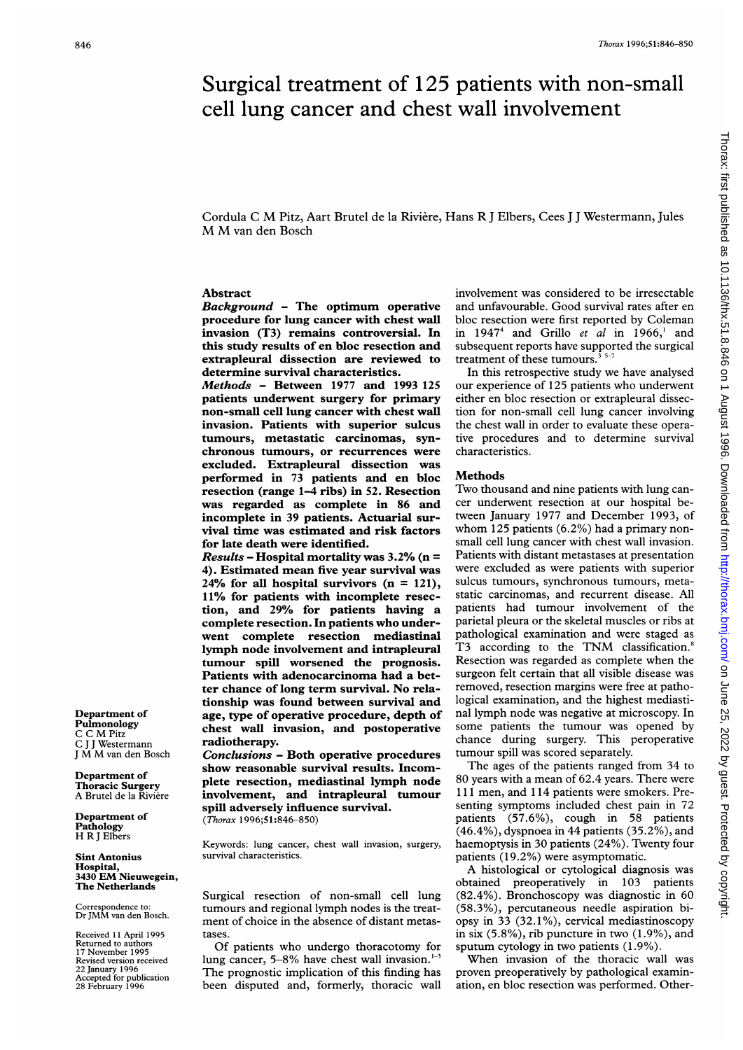# Surgical treatment of 125 patients with non-small cell lung cancer and chest wall involvement

Cordula <sup>C</sup> M Pitz, Aart Brutel de la Riviere, Hans R <sup>J</sup> Elbers, Cees <sup>J</sup> <sup>J</sup> Westermann, Jules M M van den Bosch

# Abstract

Background - The optimum operative procedure for lung cancer with chest wall invasion (T3) remains controversial. In this study results of en bloc resection and extrapleural dissection are reviewed to determine survival characteristics.

Methods - Between 1977 and 1993 125 patients underwent surgery for primary non-small cell lung cancer with chest wall invasion. Patients with superior sulcus tumours, metastatic carcinomas, synchronous tumours, or recurrences were excluded. Extrapleural dissection was performed in 73 patients and en bloc resection (range 1-4 ribs) in 52. Resection was regarded as complete in 86 and incomplete in 39 patients. Actuarial survival time was estimated and risk factors for late death were identified.

 $Results - Hospital$  mortality was 3.2% (n = 4). Estimated mean five year survival was 24% for all hospital survivors  $(n = 121)$ , 11% for patients with incomplete resection, and 29% for patients having a complete resection. In patients who underwent complete resection mediastinal lymph node involvement and intrapleural tumour spill worsened the prognosis. Patients with adenocarcinoma had a better chance of long term survival. No relationship was found between survival and age, type of operative procedure, depth of chest wall invasion, and postoperative radiotherapy.

Conclusions - Both operative procedures show reasonable survival results. Incomplete resection, mediastinal lymph node involvement, and intrapleural tumour spill adversely influence survival. (Thorax 1996;51:846-850)

Keywords: lung cancer, chest wall invasion, surgery, survival characteristics.

Surgical resection of non-small cell lung tumours and regional lymph nodes is the treatment of choice in the absence of distant metastases.

Of patients who undergo thoracotomy for lung cancer, 5-8% have chest wall invasion.<sup>1-1</sup> The prognostic implication of this finding has been disputed and, formerly, thoracic wall involvement was considered to be irresectable and unfavourable. Good survival rates after en bloc resection were first reported by Coleman in  $1947<sup>4</sup>$  and Grillo et al in  $1966<sup>1</sup>$  and subsequent reports have supported the surgical treatment of these tumours.<sup>3</sup> $5-7$ 

In this retrospective study we have analysed our experience of 125 patients who underwent either en bloc resection or extrapleural dissection for non-small cell lung cancer involving the chest wall in order to evaluate these operative procedures and to determine survival characteristics.

#### **Methods**

Two thousand and nine patients with lung cancer underwent resection at our hospital between January 1977 and December 1993, of whom 125 patients (6.2%) had <sup>a</sup> primary nonsmall cell lung cancer with chest wall invasion. Patients with distant metastases at presentation were excluded as were patients with superior sulcus tumours, synchronous tumours, metastatic carcinomas, and recurrent disease. All patients had tumour involvement of the parietal pleura or the skeletal muscles or ribs at pathological examination and were staged as T3 according to the TNM classification.<sup>8</sup> Resection was regarded as complete when the surgeon felt certain that all visible disease was removed, resection margins were free at pathological examination, and the highest mediastinal lymph node was negative at microscopy. In some patients the tumour was opened by chance during surgery. This peroperative tumour spill was scored separately.

The ages of the patients ranged from 34 to 80 years with <sup>a</sup> mean of 62.4 years. There were 111 men, and 114 patients were smokers. Presenting symptoms included chest pain in 72 patients  $(57.6\%)$ , cough in  $58$  patients (46.4%), dyspnoea in 44 patients (35.2%), and haemoptysis in 30 patients (24%). Twenty four patients (19.2%) were asymptomatic.

A histological or cytological diagnosis was obtained preoperatively in 103 patients (82.4%). Bronchoscopy was diagnostic in 60 (58.3%), percutaneous needle aspiration biopsy in 33 (32.1%), cervical mediastinoscopy in six (5.8%), rib puncture in two (1.9%), and sputum cytology in two patients (1.9%).

When invasion of the thoracic wall was proven preoperatively by pathological examination, en bloc resection was performed. Other-

Department of Pulmonology <sup>C</sup> <sup>C</sup> M Pitz C <sup>J</sup> <sup>J</sup> Westermann <sup>J</sup> M M van den Bosch

Department of Thoracic Surgery A Brutel de la Riviere

Department of Pathology H R <sup>J</sup> Elbers

Sint Antonius Hospital, <sup>3430</sup> EM Nieuwegein, The Netherlands

Correspondence to: Dr JMM van den Bosch.

Received 11 April 1995 Returned to authors 17 November 1995 Revised version received 22 January 1996 Accepted for publication 28 February 1996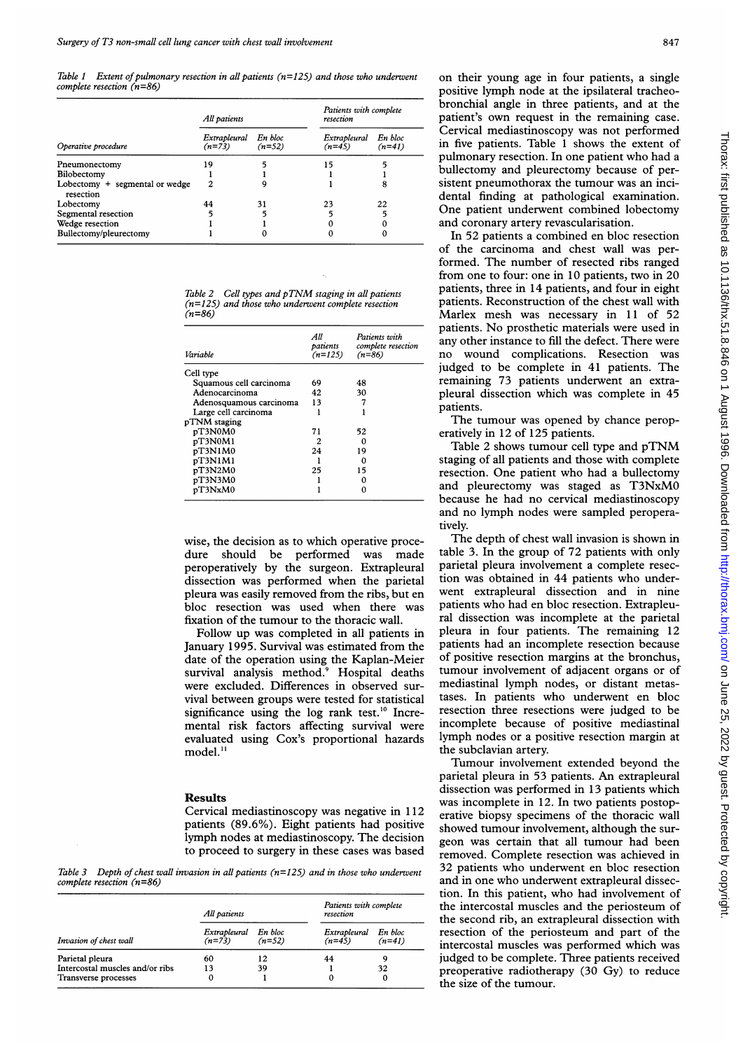Table 1 Extent of pulmonary resection in all patients ( $n=125$ ) and those who underwent complete resection (n=86)

|                                               | All patients             |                     | Patients with complete<br>resection |                     |
|-----------------------------------------------|--------------------------|---------------------|-------------------------------------|---------------------|
| Operative procedure                           | Extrapleural<br>$(n=73)$ | En bloc<br>$(n=52)$ | Extrapleural<br>$(n=45)$            | En bloc<br>$(n=41)$ |
| Pneumonectomy                                 | 19                       |                     | 15                                  |                     |
| Bilobectomy                                   |                          |                     |                                     |                     |
| Lobectomy $+$ segmental or wedge<br>resection |                          | 9                   |                                     |                     |
| Lobectomy                                     | 44                       | 31                  | 23                                  | 22                  |
| Segmental resection                           |                          | 5                   |                                     |                     |
| Wedge resection                               |                          |                     |                                     |                     |
| Bullectomy/pleurectomy                        |                          |                     |                                     |                     |

|        |  | Table 2 Cell types and pTNM staging in all patients  |  |
|--------|--|------------------------------------------------------|--|
|        |  | $(n=125)$ and those who underwent complete resection |  |
| (n=86) |  |                                                      |  |

| Variable                | All<br>patients<br>$(n=125)$ | Patients with<br>complete resection<br>$(n=86)$ |
|-------------------------|------------------------------|-------------------------------------------------|
| Cell type               |                              |                                                 |
| Squamous cell carcinoma | 69                           | 48                                              |
| Adenocarcinoma          | 42                           | 30                                              |
| Adenosquamous carcinoma | 13                           |                                                 |
| Large cell carcinoma    |                              |                                                 |
| pTNM staging            |                              |                                                 |
| pT3N0M0                 | 71                           | 52                                              |
| pT3N0M1                 | 2                            | Ω                                               |
| pT3N1M0                 | 24                           | 19                                              |
| pT3N1M1                 |                              |                                                 |
| pT3N2M0                 | 25                           | 15                                              |
| pT3N3M0                 |                              | Ω                                               |
| pT3NxM0                 |                              | n                                               |

wise, the decision as to which operative procedure should be performed was made peroperatively by the surgeon. Extrapleural dissection was performed when the parietal pleura was easily removed from the ribs, but en bloc resection was used when there was fixation of the tumour to the thoracic wall.

Follow up was completed in all patients in January 1995. Survival was estimated from the date of the operation using the Kaplan-Meier survival analysis method.<sup>9</sup> Hospital deaths were excluded. Differences in observed survival between groups were tested for statistical significance using the log rank test.<sup>10</sup> Incremental risk factors affecting survival were evaluated using Cox's proportional hazards model.<sup>11</sup>

## Results

Cervical mediastinoscopy was negative in 112 patients (89.6%). Eight patients had positive lymph nodes at mediastinoscopy. The decision to proceed to surgery in these cases was based

Table 3 Depth of chest wall invasion in all patients  $(n=125)$  and in those who underwent complete resection (n=86)

|                                 | All patients             |                     | Patients with complete<br>resection |                     |
|---------------------------------|--------------------------|---------------------|-------------------------------------|---------------------|
| Invasion of chest wall          | Extrapleural<br>$(n=73)$ | En bloc<br>$(n=52)$ | Extrapleural<br>$(n=45)$            | En bloc<br>$(n=41)$ |
| Parietal pleura                 | 60                       | 12                  | 44                                  | Q                   |
| Intercostal muscles and/or ribs | 13                       | 39                  |                                     | 32                  |
| Transverse processes            | 0                        |                     |                                     | 0                   |

on their young age in four patients, a single positive lymph node at the ipsilateral tracheobronchial angle in three patients, and at the patient's own request in the remaining case. Cervical mediastinoscopy was not performed in five patients. Table <sup>1</sup> shows the extent of pulmonary resection. In one patient who had <sup>a</sup> bullectomy and pleurectomy because of persistent pneumothorax the tumour was an incidental finding at pathological examination. One patient underwent combined lobectomy and coronary artery revascularisation.

In 52 patients a combined en bloc resection of the carcinoma and chest wall was performed. The number of resected ribs ranged from one to four: one in 10 patients, two in 20 patients, three in 14 patients, and four in eight patients. Reconstruction of the chest wall with Marlex mesh was necessary in 11 of 52 patients. No prosthetic materials were used in any other instance to fill the defect. There were no wound complications. Resection was judged to be complete in 41 patients. The remaining 73 patients underwent an extrapleural dissection which was complete in 45 patients.

The tumour was opened by chance peroperatively in 12 of 125 patients.

Table <sup>2</sup> shows tumour cell type and pTNM staging of all patients and those with complete resection. One patient who had <sup>a</sup> bullectomy and pleurectomy was staged as T3NxMO because he had no cervical mediastinoscopy and no lymph nodes were sampled peroperatively.

The depth of chest wall invasion is shown in table 3. In the group of 72 patients with only parietal pleura involvement a complete resection was obtained in 44 patients who underwent extrapleural dissection and in nine patients who had en bloc resection. Extrapleural dissection was incomplete at the parietal pleura in four patients. The remaining 12 patients had an incomplete resection because of positive resection margins at the bronchus, tumour involvement of adjacent organs or of mediastinal lymph nodes, or distant metastases. In patients who underwent en bloc resection three resections were judged to be incomplete because of positive mediastinal lymph nodes or a positive resection margin at the subclavian artery.

Tumour involvement extended beyond the parietal pleura in 53 patients. An extrapleural dissection was performed in 13 patients which was incomplete in 12. In two patients postoperative biopsy specimens of the thoracic wall showed tumour involvement, although the surgeon was certain that all tumour had been removed. Complete resection was achieved in 32 patients who underwent en bloc resection and in one who underwent extrapleural dissection. In this patient, who had involvement of the intercostal muscles and the periosteum of the second rib, an extrapleural dissection with resection of the periosteum and part of the intercostal muscles was performed which was judged to be complete. Three patients received preoperative radiotherapy (30 Gy) to reduce the size of the tumour.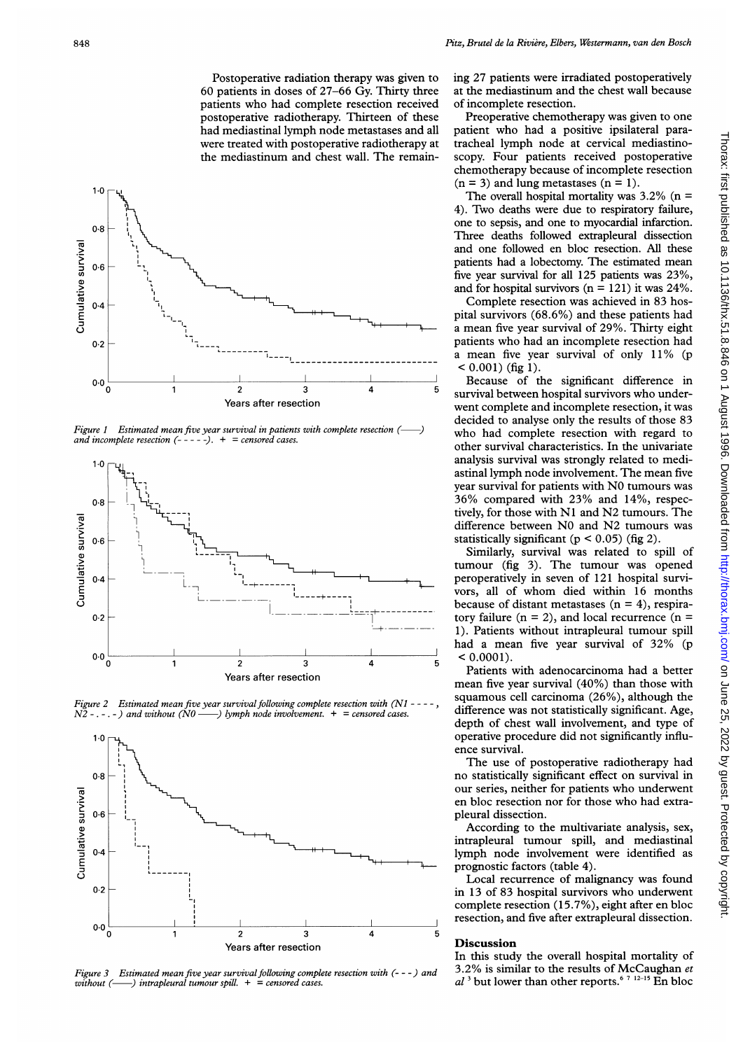Postoperative radiation therapy was given to 60 patients in doses of 27-66 Gy. Thirty three patients who had complete resection received postoperative radiotherapy. Thirteen of these had mediastinal lymph node metastases and all were treated with postoperative radiotherapy at the mediastinum and chest wall. The remain-



-) Figure 1 Estimated mean five year survival in patients with complete resection (and incomplete resection  $(- - - -)$ .  $+ =$  censored cases.



Figure 2 Estimated mean five year survival following complete resection with (N1  $N2$  -. -. -) and without (N0 — ) lymph node involvement.  $+$  = censored cases.  $-)$  lymph node involvement.  $+$  = censored cases.



Figure 3 Estimated mean five year survival following complete resection with  $(--)$  and without  $(---)$  intrableural tumour spill.  $+$  = censored cases.  $-$ ) intrapleural tumour spill.  $+$  = censored cases.

ing 27 patients were irradiated postoperatively at the mediastinum and the chest wall because of incomplete resection.

Preoperative chemotherapy was given to one patient who had a positive ipsilateral paratracheal lymph node at cervical mediastinoscopy. Four patients received postoperative chemotherapy because of incomplete resection  $(n = 3)$  and lung metastases  $(n = 1)$ .

The overall hospital mortality was  $3.2\%$  (n = 4). Two deaths were due to respiratory failure, one to sepsis, and one to myocardial infarction. Three deaths followed extrapleural dissection and one followed en bloc resection. All these patients had a lobectomy. The estimated mean five year survival for all 125 patients was 23%, and for hospital survivors  $(n = 121)$  it was 24%.

Complete resection was achieved in 83 hospital survivors (68.6%) and these patients had a mean five year survival of 29%. Thirty eight patients who had an incomplete resection had a mean five year survival of only  $11\%$  (p  $< 0.001$ ) (fig 1).

Because of the significant difference in survival between hospital survivors who underwent complete and incomplete resection, it was decided to analyse only the results of those 83 who had complete resection with regard to other survival characteristics. In the univariate analysis survival was strongly related to mediastinal lymph node involvement. The mean five year survival for patients with NO tumours was 36% compared with 23% and 14%, respectively, for those with Ni and N2 tumours. The difference between NO and N2 tumours was statistically significant ( $p < 0.05$ ) (fig 2).

Similarly, survival was related to spill of tumour (fig 3). The tumour was opened peroperatively in seven of 121 hospital survivors, all of whom died within <sup>16</sup> months because of distant metastases  $(n = 4)$ , respiratory failure  $(n = 2)$ , and local recurrence  $(n = 1)$ 1). Patients without intrapleural tumour spill had <sup>a</sup> mean five year survival of 32% (p  $< 0.0001$ ).

Patients with adenocarcinoma had a better mean five year survival (40%) than those with squamous cell carcinoma (26%), although the difference was not statistically significant. Age, depth of chest wall involvement, and type of operative procedure did not significantly influence survival.

The use of postoperative radiotherapy had no statistically significant effect on survival in our series, neither for patients who underwent en bloc resection nor for those who had extrapleural dissection.

According to the multivariate analysis, sex, intrapleural tumour spill, and mediastinal lymph node involvement were identified as prognostic factors (table 4).

Local recurrence of malignancy was found in 13 of 83 hospital survivors who underwent complete resection (15.7%), eight after en bloc resection, and five after extrapleural dissection.

## **Discussion**

In this study the overall hospital mortality of 3.2% is similar to the results of McCaughan et  $al^3$  but lower than other reports.<sup>6 7 12-15</sup> En bloc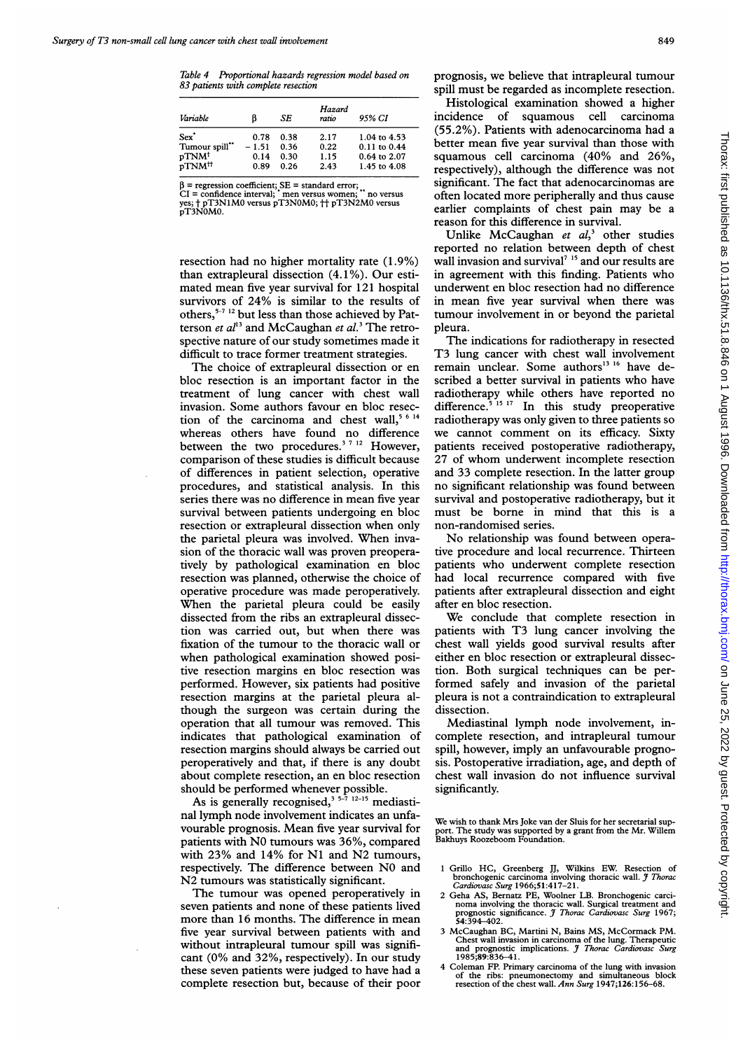Table 4 Proportional hazards regression model based on 83 patients with complete resection

| Variable                | ß       | SE   | Hazard<br>ratio | 95% CI           |
|-------------------------|---------|------|-----------------|------------------|
| Sex <sup>*</sup>        | 0.78    | 0.38 | 2.17            | 1.04 to 4.53     |
| Tumour spill**          | $-1.51$ | 0.36 | 0.22            | 0.11 to 0.44     |
| $pTNM^{\dagger}$        | 0.14    | 0.30 | 1.15            | $0.64$ to $2.07$ |
| $pTNM^{\dagger\dagger}$ | 0.89    | 0.26 | 2.43            | 1.45 to 4.08     |

β = regression coefficient; SE = standard error;<br>CI = confidence interval; "men versus women; " no versus<br>yes; † pT3N1M0 versus pT3N0M0; †† pT3N2M0 versus<br>pT3N0M0.

resection had no higher mortality rate (1.9%) than extrapleural dissection (4.1%). Our estimated mean five year survival for 121 hospital survivors of 24% is similar to the results of others, $5-7$  12 but less than those achieved by Patterson et  $al<sup>13</sup>$  and McCaughan et  $al<sup>3</sup>$  The retrospective nature of our study sometimes made it difficult to trace former treatment strategies.

The choice of extrapleural dissection or en bloc resection is an important factor in the treatment of lung cancer with chest wall invasion. Some authors favour en bloc resection of the carcinoma and chest wall,<sup>5 6 14</sup> whereas others have found no difference between the two procedures.<sup>3 7 12</sup> However, comparison of these studies is difficult because of differences in patient selection, operative procedures, and statistical analysis. In this series there was no difference in mean five year survival between patients undergoing en bloc resection or extrapleural dissection when only the parietal pleura was involved. When invasion of the thoracic wall was proven preoperatively by pathological examination en bloc resection was planned, otherwise the choice of operative procedure was made peroperatively. When the parietal pleura could be easily dissected from the ribs an extrapleural dissection was carried out, but when there was fixation of the tumour to the thoracic wall or when pathological examination showed positive resection margins en bloc resection was performed. However, six patients had positive resection margins at the parietal pleura although the surgeon was certain during the operation that all tumour was removed. This indicates that pathological examination of resection margins should always be carried out peroperatively and that, if there is any doubt about complete resection, an en bloc resection should be performed whenever possible.

As is generally recognised,  $3^{5-7}$   $12-15$  mediastinal lymph node involvement indicates an unfavourable prognosis. Mean five year survival for patients with NO tumours was 36%, compared with 23% and 14% for Ni and N2 tumours, respectively. The difference between NO and N2 tumours was statistically significant.

The tumour was opened peroperatively in seven patients and none of these patients lived more than 16 months. The difference in mean five year survival between patients with and without intrapleural tumour spill was significant (0% and 32%, respectively). In our study these seven patients were judged to have had a complete resection but, because of their poor

prognosis, we believe that intrapleural tumour spill must be regarded as incomplete resection.

Histological examination showed a higher incidence of squamous cell carcinoma (55.2%). Patients with adenocarcinoma had a better mean five year survival than those with squamous cell carcinoma (40% and 26%, respectively), although the difference was not significant. The fact that adenocarcinomas are often located more peripherally and thus cause earlier complaints of chest pain may be <sup>a</sup> reason for this difference in survival.

Unlike McCaughan et  $al<sub>3</sub><sup>3</sup>$  other studies reported no relation between depth of chest wall invasion and survival<sup>7</sup><sup>15</sup> and our results are in agreement with this finding. Patients who underwent en bloc resection had no difference in mean five year survival when there was tumour involvement in or beyond the parietal pleura.

The indications for radiotherapy in resected T3 lung cancer with chest wall involvement remain unclear. Some authors<sup>13 16</sup> have described a better survival in patients who have radiotherapy while others have reported no difference.<sup>3 15</sup> 11 In this study preoperative radiotherapy was only given to three patients so we cannot comment on its efficacy. Sixty patients received postoperative radiotherapy, 27 of whom underwent incomplete resection and 33 complete resection. In the latter group no significant relationship was found between survival and postoperative radiotherapy, but it must be borne in mind that this is a non-randomised series.

No relationship was found between operative procedure and local recurrence. Thirteen patients who underwent complete resection had local recurrence compared with five patients after extrapleural dissection and eight after en bloc resection.

We conclude that complete resection in patients with T3 lung cancer involving the chest wall yields good survival results after either en bloc resection or extrapleural dissection. Both surgical techniques can be performed safely and invasion of the parietal pleura is not a contraindication to extrapleural dissection.

Mediastinal lymph node involvement, incomplete resection, and intrapleural tumour spill, however, imply an unfavourable prognosis. Postoperative irradiation, age, and depth of chest wall invasion do not influence survival significantly.

We wish to thank Mrs Joke van der Sluis for her secretarial sup-port. The study was supported by a grant from the Mr. Willem Bakhuys Roozeboom Foundation.

- <sup>1</sup> Grillo HC, Greenberg JJ, Wilkins EW. Resection of bronchogenic carcinoma involving thoracic wall. J Thorac Cardiovasc Surg 1966;51:417-21.
- 2 Geha AS, Bernatz PE, Woolner LB. Bronchogenic carci-<br>noma involving the thoracic wall. Surgical treatment and<br>prognostic significance. J Thorac Cardiovasc Surg 1967;<br>54:394-402.
- <sup>3</sup> McCaughan BC, Martini N, Bains MS, McCormack PM. Chest wall invasion in carcinoma of the lung. Therapeutic<br>and prognostic implications. *J Thorac Cardiovasc Surg*<br>1985;89:836–41.
- 4 Coleman FP. Primary carcinoma of the lung with invasion of the ribs: pneumonectomy and simultaneous block resection of the chest wall. Ann Surg 1947;126:156–68.